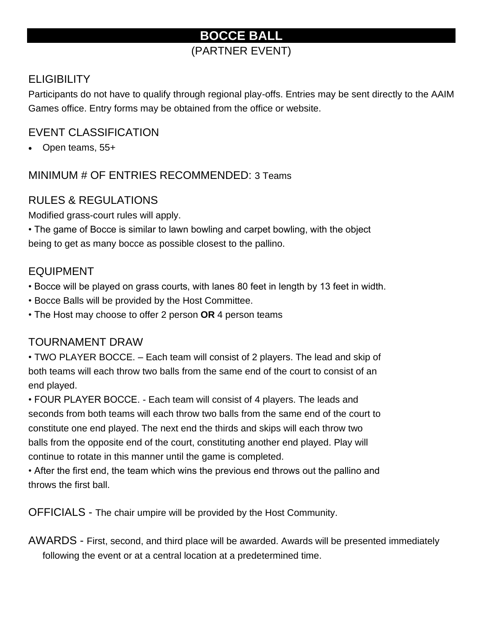# **BOCCE BALL**

## (PARTNER EVENT)

### **ELIGIBILITY**

Participants do not have to qualify through regional play-offs. Entries may be sent directly to the AAIM Games office. Entry forms may be obtained from the office or website.

### EVENT CLASSIFICATION

• Open teams, 55+

MINIMUM # OF ENTRIES RECOMMENDED: 3 Teams

## RULES & REGULATIONS

Modified grass-court rules will apply.

• The game of Bocce is similar to lawn bowling and carpet bowling, with the object being to get as many bocce as possible closest to the pallino.

### EQUIPMENT

• Bocce will be played on grass courts, with lanes 80 feet in length by 13 feet in width.

- Bocce Balls will be provided by the Host Committee.
- The Host may choose to offer 2 person **OR** 4 person teams

### TOURNAMENT DRAW

• TWO PLAYER BOCCE. – Each team will consist of 2 players. The lead and skip of both teams will each throw two balls from the same end of the court to consist of an end played.

• FOUR PLAYER BOCCE. - Each team will consist of 4 players. The leads and seconds from both teams will each throw two balls from the same end of the court to constitute one end played. The next end the thirds and skips will each throw two balls from the opposite end of the court, constituting another end played. Play will continue to rotate in this manner until the game is completed.

• After the first end, the team which wins the previous end throws out the pallino and throws the first ball.

OFFICIALS - The chair umpire will be provided by the Host Community.

AWARDS - First, second, and third place will be awarded. Awards will be presented immediately following the event or at a central location at a predetermined time.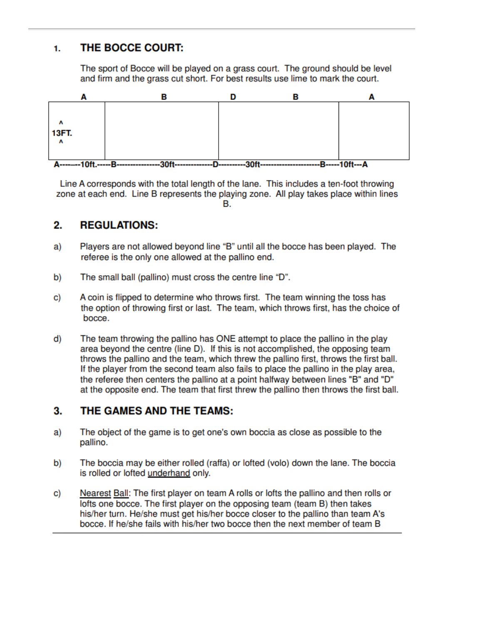#### THE BOCCE COURT: 1.

The sport of Bocce will be played on a grass court. The ground should be level and firm and the grass cut short. For best results use lime to mark the court.



Line A corresponds with the total length of the lane. This includes a ten-foot throwing zone at each end. Line B represents the playing zone. All play takes place within lines В.

#### 2. **REGULATIONS:**

- Players are not allowed beyond line "B" until all the bocce has been played. The a) referee is the only one allowed at the pallino end.
- b) The small ball (pallino) must cross the centre line "D".
- A coin is flipped to determine who throws first. The team winning the toss has C) the option of throwing first or last. The team, which throws first, has the choice of bocce.
- d) The team throwing the pallino has ONE attempt to place the pallino in the play area beyond the centre (line D). If this is not accomplished, the opposing team throws the pallino and the team, which threw the pallino first, throws the first ball. If the player from the second team also fails to place the pallino in the play area, the referee then centers the pallino at a point halfway between lines "B" and "D" at the opposite end. The team that first threw the pallino then throws the first ball.

#### 3. THE GAMES AND THE TEAMS:

- The object of the game is to get one's own boccia as close as possible to the a) pallino.
- The boccia may be either rolled (raffa) or lofted (volo) down the lane. The boccia b) is rolled or lofted underhand only.
- C) Nearest Ball: The first player on team A rolls or lofts the pallino and then rolls or lofts one bocce. The first player on the opposing team (team B) then takes his/her turn. He/she must get his/her bocce closer to the pallino than team A's bocce. If he/she fails with his/her two bocce then the next member of team B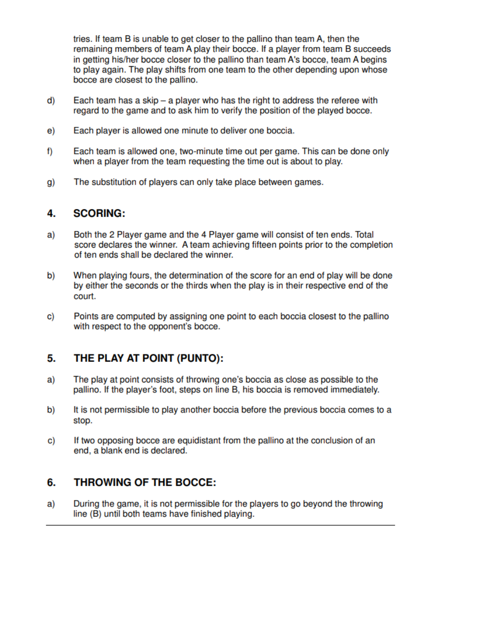tries. If team B is unable to get closer to the pallino than team A, then the remaining members of team A play their bocce. If a player from team B succeeds in getting his/her bocce closer to the pallino than team A's bocce, team A begins to play again. The play shifts from one team to the other depending upon whose bocce are closest to the pallino.

- d) Each team has a skip – a player who has the right to address the referee with regard to the game and to ask him to verify the position of the played bocce.
- Each player is allowed one minute to deliver one boccia. e)
- f) Each team is allowed one, two-minute time out per game. This can be done only when a player from the team requesting the time out is about to play.
- The substitution of players can only take place between games. g)

#### 4. **SCORING:**

- Both the 2 Player game and the 4 Player game will consist of ten ends. Total a) score declares the winner. A team achieving fifteen points prior to the completion of ten ends shall be declared the winner.
- When playing fours, the determination of the score for an end of play will be done b) by either the seconds or the thirds when the play is in their respective end of the court.
- C) Points are computed by assigning one point to each boccia closest to the pallino with respect to the opponent's bocce.

#### 5. THE PLAY AT POINT (PUNTO):

- The play at point consists of throwing one's boccia as close as possible to the a) pallino. If the player's foot, steps on line B, his boccia is removed immediately.
- b) It is not permissible to play another boccia before the previous boccia comes to a stop.
- C) If two opposing bocce are equidistant from the pallino at the conclusion of an end, a blank end is declared.

#### 6. **THROWING OF THE BOCCE:**

During the game, it is not permissible for the players to go beyond the throwing a) line (B) until both teams have finished playing.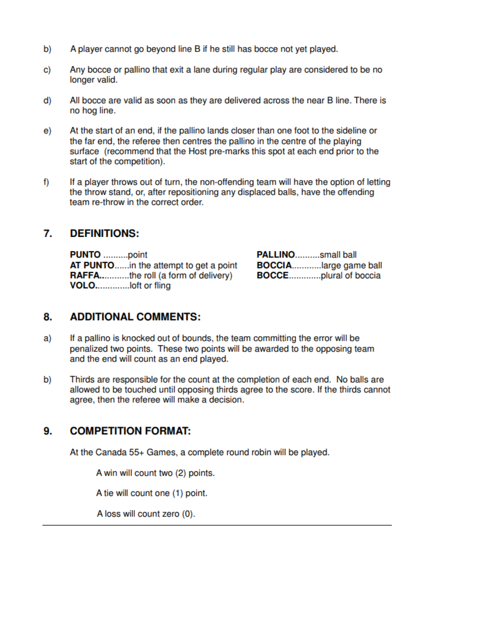- b) A player cannot go beyond line B if he still has bocce not yet played.
- Any bocce or pallino that exit a lane during regular play are considered to be no C) longer valid.
- d) All bocce are valid as soon as they are delivered across the near B line. There is no hog line.
- At the start of an end, if the pallino lands closer than one foot to the sideline or e) the far end, the referee then centres the pallino in the centre of the playing surface (recommend that the Host pre-marks this spot at each end prior to the start of the competition).
- If a player throws out of turn, the non-offending team will have the option of letting f) the throw stand, or, after repositioning any displaced balls, have the offending team re-throw in the correct order.

#### 7. **DEFINITIONS:**

| <b>PUNTO</b> point                        | <b>PALLINOsmall ball</b>     |
|-------------------------------------------|------------------------------|
| AT PUNTOin the attempt to get a point     | <b>BOCCIAlarge game ball</b> |
| <b>RAFFAthe roll (a form of delivery)</b> | <b>BOCCEplural of boccia</b> |
|                                           |                              |

#### 8. **ADDITIONAL COMMENTS:**

- If a pallino is knocked out of bounds, the team committing the error will be a) penalized two points. These two points will be awarded to the opposing team and the end will count as an end played.
- Thirds are responsible for the count at the completion of each end. No balls are b) allowed to be touched until opposing thirds agree to the score. If the thirds cannot agree, then the referee will make a decision.

#### 9. **COMPETITION FORMAT:**

At the Canada 55+ Games, a complete round robin will be played.

A win will count two (2) points.

A tie will count one (1) point.

A loss will count zero (0).